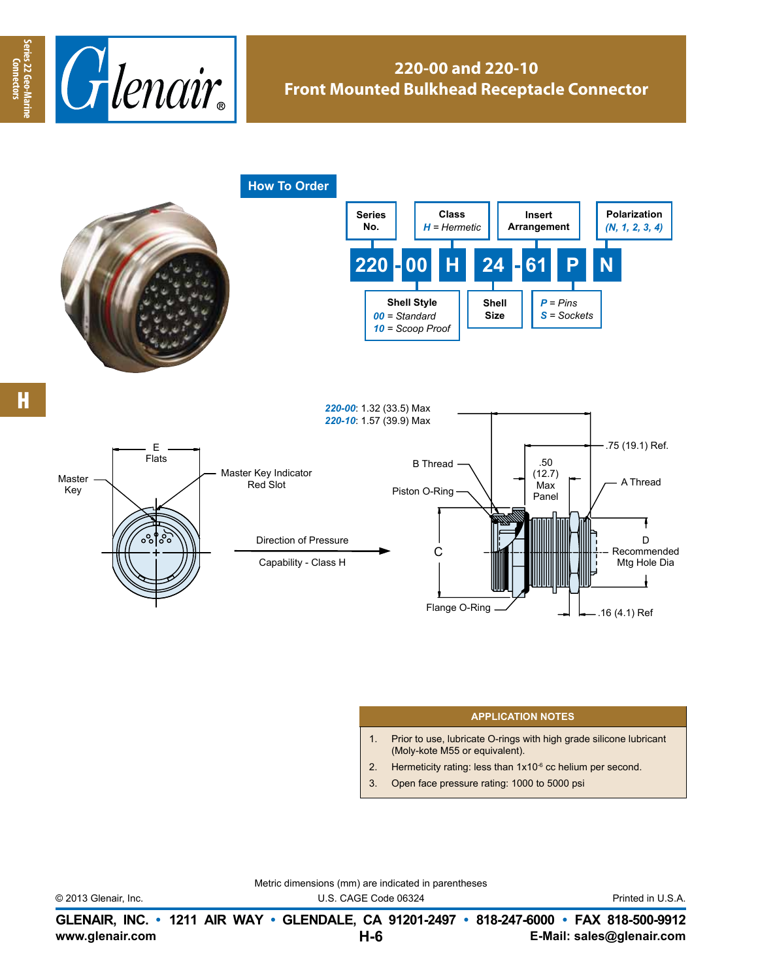

## **220-00 and 220-10 Front Mounted Bulkhead Receptacle Connector**



## **APPLICATION NOTES**

- 1. Prior to use, lubricate O-rings with high grade silicone lubricant (Moly-kote M55 or equivalent).
- 2. Hermeticity rating: less than  $1x10^{-6}$  cc helium per second.
- 3. Open face pressure rating: 1000 to 5000 psi

Metric dimensions (mm) are indicated in parentheses

© 2013 Glenair, Inc. U.S. CAGE Code 06324 Printed in U.S.A.

.16 (4.1) Ref

**www.glenair.com E-Mail: sales@glenair.com GLENAIR, INC. • 1211 AIR WAY • GLENDALE, CA 91201-2497 • 818-247-6000 • FAX 818-500-9912 H-6**

**Connectors**

Connectors